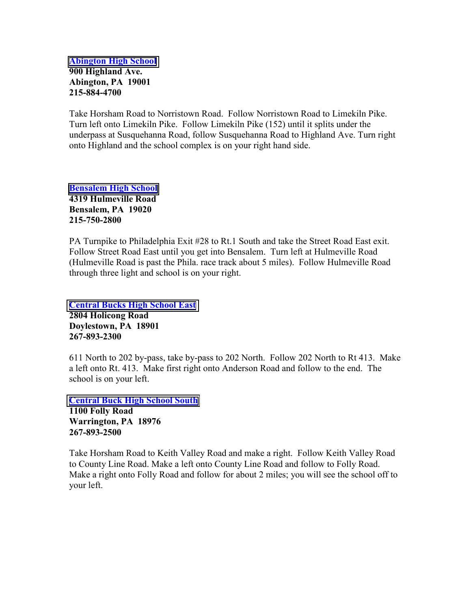[Abington High School](http://www.abington.k12.pa.us/) 900 Highland Ave. Abington, PA 19001 215-884-4700

Take Horsham Road to Norristown Road. Follow Norristown Road to Limekiln Pike. Turn left onto Limekiln Pike. Follow Limekiln Pike (152) until it splits under the underpass at Susquehanna Road, follow Susquehanna Road to Highland Ave. Turn right onto Highland and the school complex is on your right hand side.

[Bensalem High School](http://www.bensalemschools.org/) 4319 Hulmeville Road Bensalem, PA 19020 215-750-2800

PA Turnpike to Philadelphia Exit #28 to Rt.1 South and take the Street Road East exit. Follow Street Road East until you get into Bensalem. Turn left at Hulmeville Road (Hulmeville Road is past the Phila. race track about 5 miles). Follow Hulmeville Road through three light and school is on your right.

[Central Bucks High School East](http://www.cbsd.org/) 2804 Holicong Road Doylestown, PA 18901 267-893-2300

611 North to 202 by-pass, take by-pass to 202 North. Follow 202 North to Rt 413. Make a left onto Rt. 413. Make first right onto Anderson Road and follow to the end. The school is on your left.

[Central Buck High School South](http://www.cbsd.org/)

1100 Folly Road Warrington, PA 18976 267-893-2500

Take Horsham Road to Keith Valley Road and make a right. Follow Keith Valley Road to County Line Road. Make a left onto County Line Road and follow to Folly Road. Make a right onto Folly Road and follow for about 2 miles; you will see the school off to your left.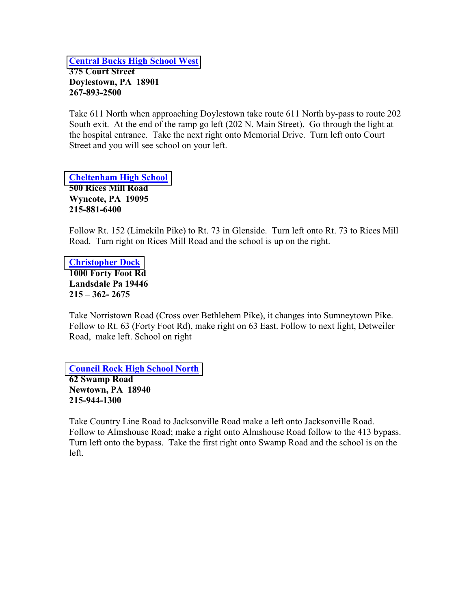[Central Bucks High School West](http://www.cbsd.org/) 375 Court Street Doylestown, PA 18901 267-893-2500

Take 611 North when approaching Doylestown take route 611 North by-pass to route 202 South exit. At the end of the ramp go left (202 N. Main Street). Go through the light at the hospital entrance. Take the next right onto Memorial Drive. Turn left onto Court Street and you will see school on your left.

[Cheltenham High School](http://www.cheltenham.org/sdct/site/default.asp) 500 Rices Mill Road Wyncote, PA 19095 215-881-6400

Follow Rt. 152 (Limekiln Pike) to Rt. 73 in Glenside. Turn left onto Rt. 73 to Rices Mill Road. Turn right on Rices Mill Road and the school is up on the right.

[Christopher Dock](http://www.christopherdock.org/)  1000 Forty Foot Rd Landsdale Pa 19446  $215 - 362 - 2675$ 

Take Norristown Road (Cross over Bethlehem Pike), it changes into Sumneytown Pike. Follow to Rt. 63 (Forty Foot Rd), make right on 63 East. Follow to next light, Detweiler Road, make left. School on right

[Council Rock High School North](http://www.crsd.org/councilrocksd/site/default.asp) 62 Swamp Road Newtown, PA 18940 215-944-1300

Take Country Line Road to Jacksonville Road make a left onto Jacksonville Road. Follow to Almshouse Road; make a right onto Almshouse Road follow to the 413 bypass. Turn left onto the bypass. Take the first right onto Swamp Road and the school is on the left.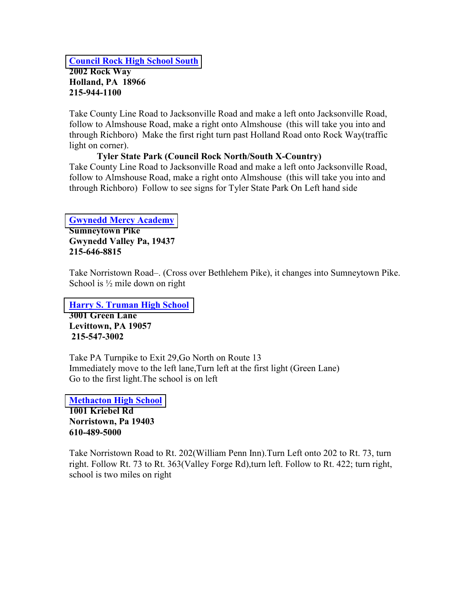#### [Council Rock High School South](http://www.crsd.org/councilrocksd/site/default.asp) 2002 Rock Way Holland, PA 18966 215-944-1100

Take County Line Road to Jacksonville Road and make a left onto Jacksonville Road, follow to Almshouse Road, make a right onto Almshouse (this will take you into and through Richboro) Make the first right turn past Holland Road onto Rock Way(traffic light on corner).

### Tyler State Park (Council Rock North/South X-Country)

Take County Line Road to Jacksonville Road and make a left onto Jacksonville Road, follow to Almshouse Road, make a right onto Almshouse (this will take you into and through Richboro) Follow to see signs for Tyler State Park On Left hand side

### [Gwynedd Mercy Academy](http://www.gmahs.com/)

Sumneytown Pike Gwynedd Valley Pa, 19437 215-646-8815

Take Norristown Road–. (Cross over Bethlehem Pike), it changes into Sumneytown Pike. School is  $\frac{1}{2}$  mile down on right

[Harry S. Truman High School](http://www.bucksiu.org/btsd/schools/trumanpages/home.html) 3001 Green Lane Levittown, PA 19057 215-547-3002

Take PA Turnpike to Exit 29,Go North on Route 13 Immediately move to the left lane,Turn left at the first light (Green Lane) Go to the first light.The school is on left

[Methacton High School](http://www.methacton.org/methacton/site/default.asp)  1001 Kriebel Rd Norristown, Pa 19403 610-489-5000

Take Norristown Road to Rt. 202(William Penn Inn).Turn Left onto 202 to Rt. 73, turn right. Follow Rt. 73 to Rt. 363(Valley Forge Rd),turn left. Follow to Rt. 422; turn right, school is two miles on right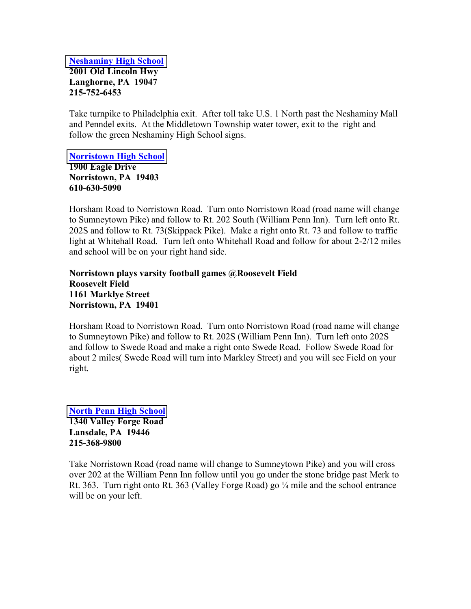[Neshaminy High School](http://www.neshaminyhs.org/hires.html) 2001 Old Lincoln Hwy Langhorne, PA 19047 215-752-6453

Take turnpike to Philadelphia exit. After toll take U.S. 1 North past the Neshaminy Mall and Penndel exits. At the Middletown Township water tower, exit to the right and follow the green Neshaminy High School signs.

[Norristown High School](http://www.nasd.k12.pa.us/schools.asp?id=1&action=display)

1900 Eagle Drive Norristown, PA 19403 610-630-5090

Horsham Road to Norristown Road. Turn onto Norristown Road (road name will change to Sumneytown Pike) and follow to Rt. 202 South (William Penn Inn). Turn left onto Rt. 202S and follow to Rt. 73(Skippack Pike). Make a right onto Rt. 73 and follow to traffic light at Whitehall Road. Turn left onto Whitehall Road and follow for about 2-2/12 miles and school will be on your right hand side.

Norristown plays varsity football games @Roosevelt Field Roosevelt Field 1161 Marklye Street Norristown, PA 19401

Horsham Road to Norristown Road. Turn onto Norristown Road (road name will change to Sumneytown Pike) and follow to Rt. 202S (William Penn Inn). Turn left onto 202S and follow to Swede Road and make a right onto Swede Road. Follow Swede Road for about 2 miles( Swede Road will turn into Markley Street) and you will see Field on your right.

[North Penn High School](http://www.npenn.org/northpennsd/site/default.asp) 1340 Valley Forge Road Lansdale, PA 19446 215-368-9800

Take Norristown Road (road name will change to Sumneytown Pike) and you will cross over 202 at the William Penn Inn follow until you go under the stone bridge past Merk to Rt. 363. Turn right onto Rt. 363 (Valley Forge Road) go  $\frac{1}{4}$  mile and the school entrance will be on your left.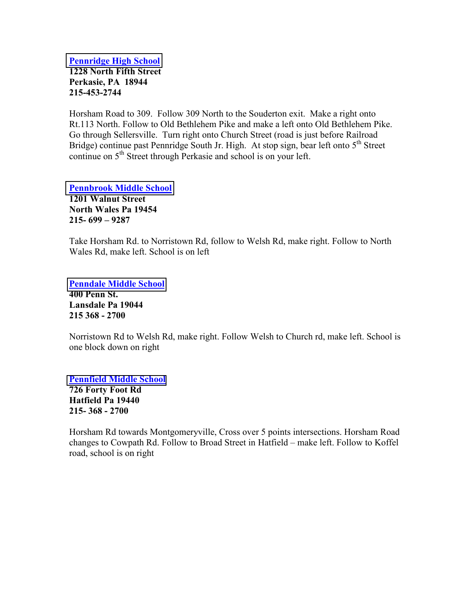[Pennridge High School](http://www.bucksiu.org/pennridge/psd/psd.htm) 1228 North Fifth Street Perkasie, PA 18944 215-453-2744

Horsham Road to 309. Follow 309 North to the Souderton exit. Make a right onto Rt.113 North. Follow to Old Bethlehem Pike and make a left onto Old Bethlehem Pike. Go through Sellersville. Turn right onto Church Street (road is just before Railroad Bridge) continue past Pennridge South Jr. High. At stop sign, bear left onto  $5<sup>th</sup>$  Street continue on 5<sup>th</sup> Street through Perkasie and school is on your left.

[Pennbrook Middle School](http://www.npenn.org/northpennsd/site/default.asp) 1201 Walnut Street North Wales Pa 19454 215- 699 – 9287

Take Horsham Rd. to Norristown Rd, follow to Welsh Rd, make right. Follow to North Wales Rd, make left. School is on left

[Penndale Middle School](http://www.npenn.org/northpennsd/site/default.asp)

400 Penn St. Lansdale Pa 19044 215 368 - 2700

Norristown Rd to Welsh Rd, make right. Follow Welsh to Church rd, make left. School is one block down on right

[Pennfield Middle School](http://www.npenn.org/northpennsd/site/default.asp)

726 Forty Foot Rd Hatfield Pa 19440 215- 368 - 2700

Horsham Rd towards Montgomeryville, Cross over 5 points intersections. Horsham Road changes to Cowpath Rd. Follow to Broad Street in Hatfield – make left. Follow to Koffel road, school is on right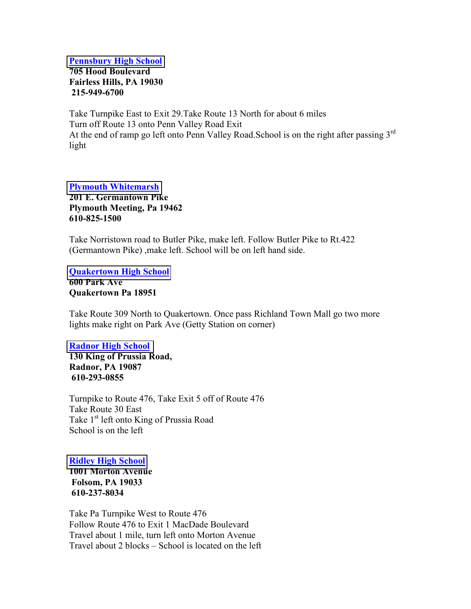[Pennsbury High School](http://www.pennsbury.k12.pa.us/) 705 Hood Boulevard Fairless Hills, PA 19030 215-949-6700

Take Turnpike East to Exit 29.Take Route 13 North for about 6 miles Turn off Route 13 onto Penn Valley Road Exit At the end of ramp go left onto Penn Valley Road. School is on the right after passing  $3<sup>rd</sup>$ light

#### [Plymouth Whitemarsh](http://www.colonialsd.org/pwhs/site/)

201 E. Germantown Pike Plymouth Meeting, Pa 19462 610-825-1500

Take Norristown road to Butler Pike, make left. Follow Butler Pike to Rt.422 (Germantown Pike) ,make left. School will be on left hand side.

[Quakertown High School](http://www.colonialsd.org/pwhs/site/) 600 Park Ave Quakertown Pa 18951

Take Route 309 North to Quakertown. Once pass Richland Town Mall go two more lights make right on Park Ave (Getty Station on corner)

#### [Radnor High School](http://www.rtsd.org/Schools/rhs.htm)

130 King of Prussia Road, Radnor, PA 19087 610-293-0855

Turnpike to Route 476, Take Exit 5 off of Route 476 Take Route 30 East Take 1<sup>st</sup> left onto King of Prussia Road School is on the left

#### [Ridley High School](http://www.ridleysd.k12.pa.us/)

1001 Morton Avenue Folsom, PA 19033 610-237-8034

Take Pa Turnpike West to Route 476 Follow Route 476 to Exit 1 MacDade Boulevard Travel about 1 mile, turn left onto Morton Avenue Travel about 2 blocks – School is located on the left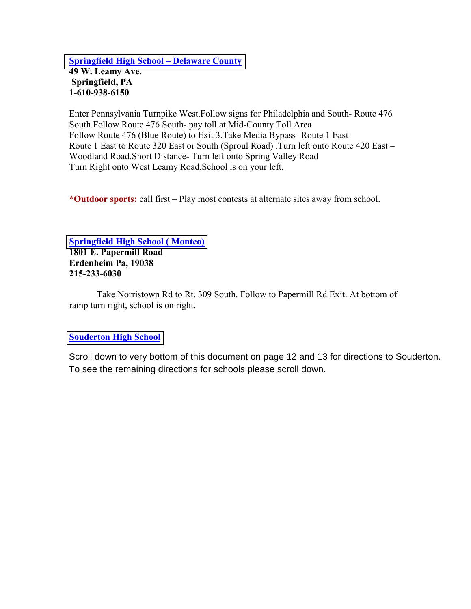[Springfield High School – Delaware County](http://www.springfieldsd-delco.org/) 49 W. Leamy Ave. Springfield, PA 1-610-938-6150

Enter Pennsylvania Turnpike West.Follow signs for Philadelphia and South- Route 476 South.Follow Route 476 South- pay toll at Mid-County Toll Area Follow Route 476 (Blue Route) to Exit 3.Take Media Bypass- Route 1 East Route 1 East to Route 320 East or South (Sproul Road) .Turn left onto Route 420 East – Woodland Road.Short Distance- Turn left onto Spring Valley Road Turn Right onto West Leamy Road.School is on your left.

\*Outdoor sports: call first – Play most contests at alternate sites away from school.

# [Springfield High School \( Montco\)](http://www.sdst.org/)

1801 E. Papermill Road Erdenheim Pa, 19038 215-233-6030

 Take Norristown Rd to Rt. 309 South. Follow to Papermill Rd Exit. At bottom of ramp turn right, school is on right.

### [Souderton High School](http://www.soudertonsd.org/)

Scroll down to very bottom of this document on page 12 and 13 for directions to Souderton. To see the remaining directions for schools please scroll down.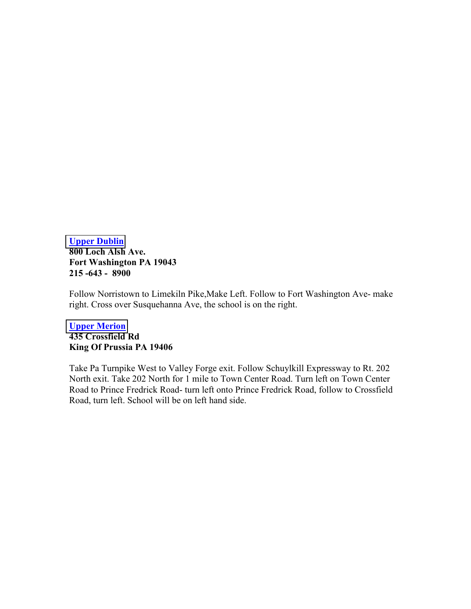[Upper Dublin](http://www.udsd.org/) 800 Loch Alsh Ave. Fort Washington PA 19043 215 -643 - 8900

Follow Norristown to Limekiln Pike,Make Left. Follow to Fort Washington Ave- make right. Cross over Susquehanna Ave, the school is on the right.

### [Upper Merion](http://www.upper-merion.k12.pa.us/) 435 Crossfield Rd King Of Prussia PA 19406

Take Pa Turnpike West to Valley Forge exit. Follow Schuylkill Expressway to Rt. 202 North exit. Take 202 North for 1 mile to Town Center Road. Turn left on Town Center Road to Prince Fredrick Road- turn left onto Prince Fredrick Road, follow to Crossfield Road, turn left. School will be on left hand side.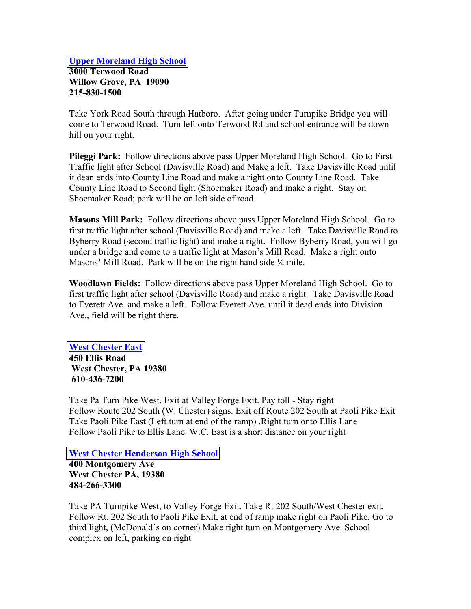### [Upper Moreland High School](http://www.umtsd.org/) 3000 Terwood Road Willow Grove, PA 19090 215-830-1500

Take York Road South through Hatboro. After going under Turnpike Bridge you will come to Terwood Road. Turn left onto Terwood Rd and school entrance will be down hill on your right.

Pileggi Park: Follow directions above pass Upper Moreland High School. Go to First Traffic light after School (Davisville Road) and Make a left. Take Davisville Road until it dean ends into County Line Road and make a right onto County Line Road. Take County Line Road to Second light (Shoemaker Road) and make a right. Stay on Shoemaker Road; park will be on left side of road.

Masons Mill Park: Follow directions above pass Upper Moreland High School. Go to first traffic light after school (Davisville Road) and make a left. Take Davisville Road to Byberry Road (second traffic light) and make a right. Follow Byberry Road, you will go under a bridge and come to a traffic light at Mason's Mill Road. Make a right onto Masons' Mill Road. Park will be on the right hand side 1/4 mile.

Woodlawn Fields: Follow directions above pass Upper Moreland High School. Go to first traffic light after school (Davisville Road) and make a right. Take Davisville Road to Everett Ave. and make a left. Follow Everett Ave. until it dead ends into Division Ave., field will be right there.

### [West Chester East](http://www.wcasd.k12.pa.us/)

450 Ellis Road West Chester, PA 19380 610-436-7200

Take Pa Turn Pike West. Exit at Valley Forge Exit. Pay toll - Stay right Follow Route 202 South (W. Chester) signs. Exit off Route 202 South at Paoli Pike Exit Take Paoli Pike East (Left turn at end of the ramp) .Right turn onto Ellis Lane Follow Paoli Pike to Ellis Lane. W.C. East is a short distance on your right

### [West Chester Henderson High School](http://www.wcasd.k12.pa.us/)

400 Montgomery Ave West Chester PA, 19380 484-266-3300

Take PA Turnpike West, to Valley Forge Exit. Take Rt 202 South/West Chester exit. Follow Rt. 202 South to Paoli Pike Exit, at end of ramp make right on Paoli Pike. Go to third light, (McDonald's on corner) Make right turn on Montgomery Ave. School complex on left, parking on right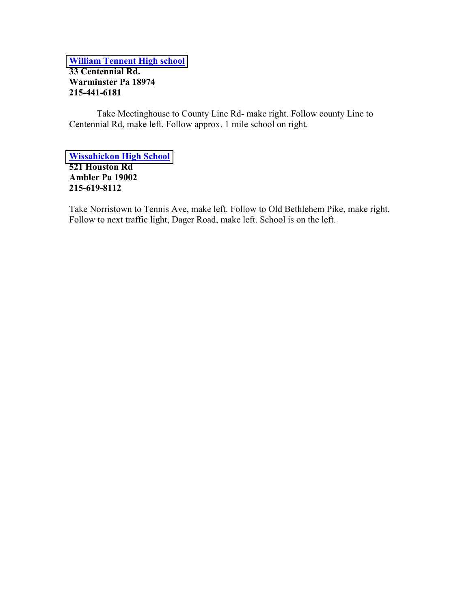[William Tennent High school](http://www.centennialsd.org/) 33 Centennial Rd. Warminster Pa 18974 215-441-6181

 Take Meetinghouse to County Line Rd- make right. Follow county Line to Centennial Rd, make left. Follow approx. 1 mile school on right.

[Wissahickon High School](http://wsdweb.org/) 521 Houston Rd Ambler Pa 19002 215-619-8112

Take Norristown to Tennis Ave, make left. Follow to Old Bethlehem Pike, make right. Follow to next traffic light, Dager Road, make left. School is on the left.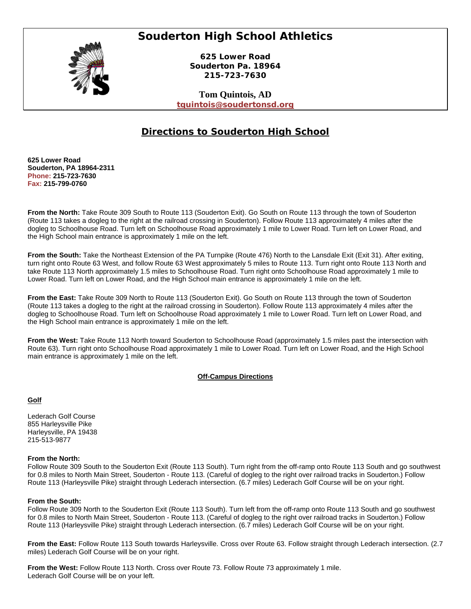## **Souderton High School Athletics**



**625 Lower Road Souderton Pa. 18964 215-723-7630** 

**Tom Quintois, AD tquintois@soudertonsd.org**

### **Directions to Souderton High School**

**625 Lower Road Souderton, PA 18964-2311 Phone: 215-723-7630 Fax: 215-799-0760** 

**From the North:** Take Route 309 South to Route 113 (Souderton Exit). Go South on Route 113 through the town of Souderton (Route 113 takes a dogleg to the right at the railroad crossing in Souderton). Follow Route 113 approximately 4 miles after the dogleg to Schoolhouse Road. Turn left on Schoolhouse Road approximately 1 mile to Lower Road. Turn left on Lower Road, and the High School main entrance is approximately 1 mile on the left.

**From the South:** Take the Northeast Extension of the PA Turnpike (Route 476) North to the Lansdale Exit (Exit 31). After exiting, turn right onto Route 63 West, and follow Route 63 West approximately 5 miles to Route 113. Turn right onto Route 113 North and take Route 113 North approximately 1.5 miles to Schoolhouse Road. Turn right onto Schoolhouse Road approximately 1 mile to Lower Road. Turn left on Lower Road, and the High School main entrance is approximately 1 mile on the left.

**From the East:** Take Route 309 North to Route 113 (Souderton Exit). Go South on Route 113 through the town of Souderton (Route 113 takes a dogleg to the right at the railroad crossing in Souderton). Follow Route 113 approximately 4 miles after the dogleg to Schoolhouse Road. Turn left on Schoolhouse Road approximately 1 mile to Lower Road. Turn left on Lower Road, and the High School main entrance is approximately 1 mile on the left.

**From the West:** Take Route 113 North toward Souderton to Schoolhouse Road (approximately 1.5 miles past the intersection with Route 63). Turn right onto Schoolhouse Road approximately 1 mile to Lower Road. Turn left on Lower Road, and the High School main entrance is approximately 1 mile on the left.

#### **Off-Campus Directions**

#### **Golf**

Lederach Golf Course 855 Harleysville Pike Harleysville, PA 19438 215-513-9877

#### **From the North:**

Follow Route 309 South to the Souderton Exit (Route 113 South). Turn right from the off-ramp onto Route 113 South and go southwest for 0.8 miles to North Main Street, Souderton - Route 113. (Careful of dogleg to the right over railroad tracks in Souderton.) Follow Route 113 (Harleysville Pike) straight through Lederach intersection. (6.7 miles) Lederach Golf Course will be on your right.

#### **From the South:**

Follow Route 309 North to the Souderton Exit (Route 113 South). Turn left from the off-ramp onto Route 113 South and go southwest for 0.8 miles to North Main Street, Souderton - Route 113. (Careful of dogleg to the right over railroad tracks in Souderton.) Follow Route 113 (Harleysville Pike) straight through Lederach intersection. (6.7 miles) Lederach Golf Course will be on your right.

**From the East:** Follow Route 113 South towards Harleysville. Cross over Route 63. Follow straight through Lederach intersection. (2.7 miles) Lederach Golf Course will be on your right.

**From the West:** Follow Route 113 North. Cross over Route 73. Follow Route 73 approximately 1 mile. Lederach Golf Course will be on your left.